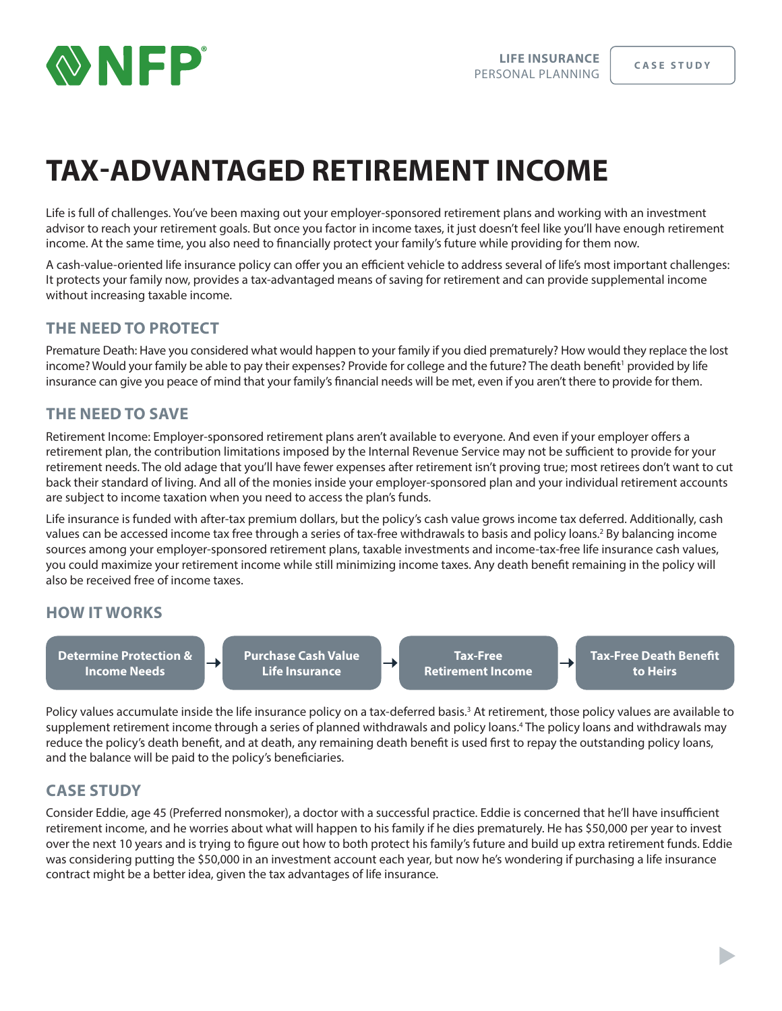

# **TAX-ADVANTAGED RETIREMENT INCOME**

Life is full of challenges. You've been maxing out your employer-sponsored retirement plans and working with an investment advisor to reach your retirement goals. But once you factor in income taxes, it just doesn't feel like you'll have enough retirement income. At the same time, you also need to financially protect your family's future while providing for them now.

A cash-value-oriented life insurance policy can offer you an efficient vehicle to address several of life's most important challenges: It protects your family now, provides a tax-advantaged means of saving for retirement and can provide supplemental income without increasing taxable income.

# **THE NEED TO PROTECT**

Premature Death: Have you considered what would happen to your family if you died prematurely? How would they replace the lost income? Would your family be able to pay their expenses? Provide for college and the future? The death benefit' provided by life insurance can give you peace of mind that your family's financial needs will be met, even if you aren't there to provide for them.

# **THE NEED TO SAVE**

Retirement Income: Employer-sponsored retirement plans aren't available to everyone. And even if your employer offers a retirement plan, the contribution limitations imposed by the Internal Revenue Service may not be sufficient to provide for your retirement needs. The old adage that you'll have fewer expenses after retirement isn't proving true; most retirees don't want to cut back their standard of living. And all of the monies inside your employer-sponsored plan and your individual retirement accounts are subject to income taxation when you need to access the plan's funds.

Life insurance is funded with after-tax premium dollars, but the policy's cash value grows income tax deferred. Additionally, cash values can be accessed income tax free through a series of tax-free withdrawals to basis and policy loans.<sup>2</sup> By balancing income sources among your employer-sponsored retirement plans, taxable investments and income-tax-free life insurance cash values, you could maximize your retirement income while still minimizing income taxes. Any death benefit remaining in the policy will also be received free of income taxes.

### **HOW IT WORKS**

**Determine Protection & Income Needs**

**Purchase Cash Value Life Insurance**

**Tax-Free Retirement Income** **Tax-Free Death Benefit to Heirs**

→

Policy values accumulate inside the life insurance policy on a tax-deferred basis.<sup>3</sup> At retirement, those policy values are available to supplement retirement income through a series of planned withdrawals and policy loans.4 The policy loans and withdrawals may reduce the policy's death benefit, and at death, any remaining death benefit is used first to repay the outstanding policy loans, and the balance will be paid to the policy's beneficiaries.

### **CASE STUDY**

Consider Eddie, age 45 (Preferred nonsmoker), a doctor with a successful practice. Eddie is concerned that he'll have insufficient retirement income, and he worries about what will happen to his family if he dies prematurely. He has \$50,000 per year to invest over the next 10 years and is trying to figure out how to both protect his family's future and build up extra retirement funds. Eddie was considering putting the \$50,000 in an investment account each year, but now he's wondering if purchasing a life insurance contract might be a better idea, given the tax advantages of life insurance.